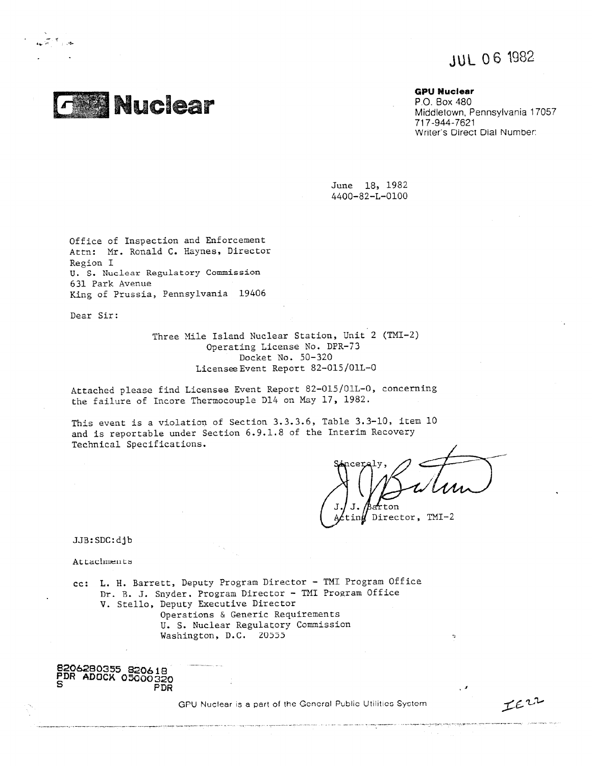JUL 06 1982



**GPU Nuclear**

P.O. Box 480 Middletown, Pennsylvania 17057 717-944-7621 Writer's Direct Dial Number:

June 18, 1982 4400-82-L-0100

Office of Inspection and Enforcement Attn: Mr. Ronald C. Haynes, Director Region I U. S. Nuclear Regulatory Commission 631 Park Avenue King of Prussia, Pennsylvania 19406

Dear Sir:

Three Mile Island Nuclear Station, Unit 2 (TMI-2) Operating License No. DPR-73 Docket No. 50-320 LicenseeEvent Report 82-015/011-0

Attached please find Licensee Event Report 82-015/01L-0, concerning the failure of Incore Thermocouple D14 on May 17, 1982.

This event is a violation of Section 3.3.3.6, Table 3.3-10, item 10 and is reportable under Section 6.9.1.8 of the Interim Recovery Technical Specifications.

afrton

 $\tilde{\mathcal{L}}$ 

JE22

tin $f$  Director, TMI-2

JJB:SDC:djb

Attachments

cc: L. H. Barrett, Deputy Program Director - TMI Program Office Dr. B. J. Snyder, Program Director - TMI Program Office V. Stello, Deputy Executive Director Operations & Generic Requirements U. S. Nuclear Regulatory Commission Washington, D.C. 20555

**8206280355 S20618 PDR ADOCK 05000320 PDR**

CPU Nuclear is a part of the General Public Utilities System

a superposed and provided a series and series are also assumed to the series of the series of the series of th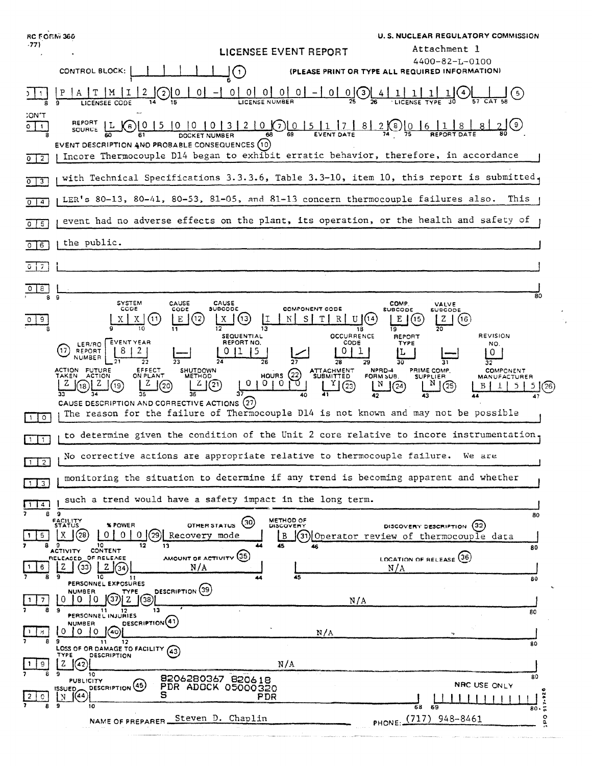**RC FORM 360 U. S. NUCLEAR REGULATORY COMMISSION**  $-771$ Attachment 1 **LICENSEE EVENT REPORT** 4400-82-L-0100 CONTROL BLOCK:  $\mathsf{J}(\cdot)$ (PLEASE PRINT OR TYPE ALL REQUIRED INFORMATION)  $(2)$  $0$  $|A|T|M$  $\mathbf{I}$ -0 I  $\perp$  $\mathbf{1}$ LICENSE NUMBER LICENSEE CODE :ON'T REPORT 5 0 0 0 1 3 2 0 0 5 1 7 8 2 0 0 6 1 8 1 8  $0 \mid 1$  $|L|$  $\sqrt{6}$ **SOURCE** DOCKET NUMBER 61 EVENT DESCRIPTION AND PROBABLE CONSEQUENCES (10) | Incore Thermocouple D14 began to exhibit erratic behavior, therefore, in accordance  $0$ <sup> $2$ </sup> with Technical Specifications 3.3.3.6, Table 3.3-10, item 10, this report is submitted.  $013$ (LER's 80-13, 80-41, 80-53, 81-05, and 81-13 concern thermocouple failures also. This  $0\sqrt{4}$ event had no adverse effects on the plant, its operation, or the health and safety of  $0 \mid 5$ the public. गा  $\frac{1}{2}$ ā٥ SYSTEM<br>CODE CAUSE<br>CODE CAUSE<br>SUBCODE COMP.<br>SUBCODE VALVE<br>SUBCODE **COMPONENT CODE**  $x(3)$  $X \mid X$  $(11)$ | E (12)  $|I|$ N s |  $T$  $R[U](14)$  $E \mid (15)$  $|Z|(16)$ 9 17  $\overline{12}$ าลิ  $\overline{19}$ **OCCURRENCE SEQUENTIAL** REPORT **REVISION** EVENT YEAR REPORT NO. CODE TYPE NO. ER/RO  $(17)$ REPORT  $8<sub>1</sub>$  $2<sub>1</sub>$  $0|1|$  $\vert$  5  $0|1$ IL.  $\vert 0 \vert$ **NUMBER**  $\overline{2R}$ 30 ক  $\overline{3}\overline{2}$ ACTION FUTURE<br>TAKEN ACTION EFFECT<br>ON PLANT SHUTDOWN<br>METHOD ATTACHMENT<br>SUBMITTED NPRD-4<br>FORM SUB. PRIME COMP. **COMPONENT**  $\begin{matrix} 1 & 0 & 0 \\ 0 & 1 & 0 \end{matrix}$ **SUPPLIER MANUFACTURER**  $\mathbb{Y}(\widehat{\mathbb{C}})$  $(18)$  $2(9)$  $Z \mid (2)$  $01010$ Ñ Z  $\int (20)$  $\lfloor N \rfloor$   $(24)$  $\circ$  $B|1|5|$  $5(26)$ 37 CAUSE DESCRIPTION AND CORRECTIVE ACTIONS (27) The reason for the failure of Thermocouple D14 is not known and may not be possible  $\Box$ to determine given the condition of the Unit 2 core relative to incore instrumentation  $\Box$ No corrective actions are appropriate relative to thermocouple failure. We are  $1\sqrt{2}$ monitoring the situation to determine if any trend is becoming apparent and whether  $1 \, 3$ such a trend would have a safety impact in the long term.  $\sqrt{114}$ s 9 80 METHOD OF<br>DISCOVERY **FACILITY**<br>STATUS OTHER STATUS (30) **% POWER** DISCOVERY DESCRIPTION (32) 0 0 0 29 Recovery mode  $\mathbf{\Gamma}^{(28)}$  $5^{\circ}$ 1 O I I B  $(31)$  Operator review of thermocouple data  $\overline{12}$ 9 10<br>ACTIVITY CONTENT 13 80 AMOUNT OF ACTIVITY (35) LOCATION OF RELEASE (36) OF RELEASE RELEASED  $20320$  $6<sup>1</sup>$  $N/A$  $N/A$ ΖĘ  $10$  $RO$ PERSONNEL EXPOSURES DESCRIPTION<sup>(39)</sup> **NUMBER** TYPE  $(37) 2$  $\overline{7}$  $\Omega$  $0<sub>10</sub>$  $(38)$  $\mathbf{1}$  $N/A$ Ä PERSONNEL INJURIES  $\overline{30}$ DESCRIPTION(41) NUMBER  $\overline{B}$  $\begin{bmatrix} 0 & 0 \end{bmatrix}$   $\begin{bmatrix} 0 & 0 \end{bmatrix}$  $N/A$  $\overline{9}$  $11$  $\overline{80}$ LOSS OF OR DAMAGE TO FACILITY (43) TYPE DESCRIPTION  $1 \mid 9 \mid$  $\begin{bmatrix} 2 & 42 \end{bmatrix}$  $N/A$  $\overline{10}$ 8206280367 820618 RO. **PUBLICITY DESCRIPTION** (45) NRC USE ONLY PDR ADOCK -05000320 issuen  $\mathbb{N}$   $(44)$ S PDR  $917 - 92$  $\mathbf{C}$  $10$  $68$ κö яõ PHONE: (717) 948-8461 NAME OF PREPARER Steven D. Chaplin od i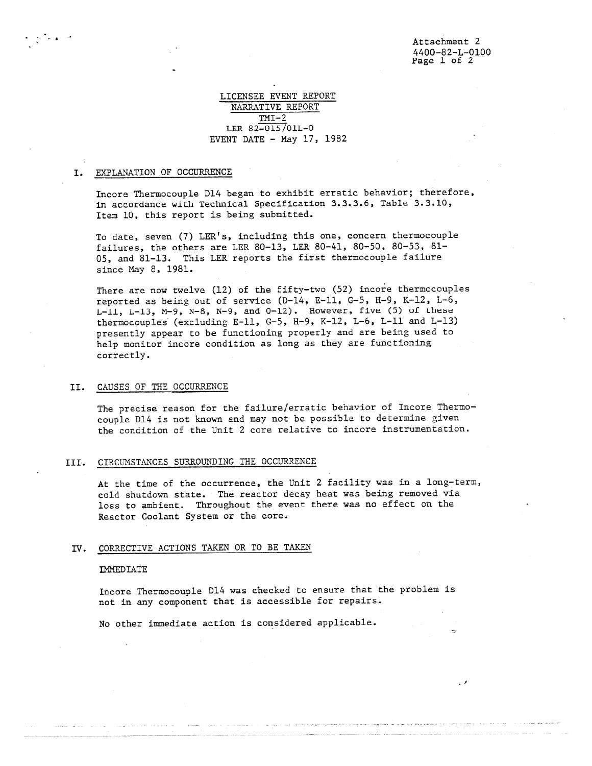# LICENSEE EVENT REPORT NARRATIVE REPORT  $TMI-2$ LER 82-015/01L-0 EVENT DATE - May 17, 1982

### I. EXPLANATION OF OCCURRENCE

Incore Thermocouple D14 began to exhibit erratic behavior; therefore, in accordance with Technical Specification 3.3.3.6, Table 3.3.10, Item 10, this report is being submitted.

To date, seven (7) LER's, including this one, concern thermocouple failures, the others are LER 80-13, LER 80-41, 80-50, 80-53, 81- 05, and 81-13. This LER reports the first thermocouple failure since May 8, 1981.

There are now twelve (12) of the fifty-two (52) incore thermocouples reported as being out of service (D-14, E-11, G-5, H-9, K-12, L-6,  $L-11$ ,  $L-13$ ,  $M-9$ ,  $N-8$ ,  $N-9$ , and  $0-12$ ). However, five (5) of these thermocouples (excluding E-11, G-5, H-9, K-12, L-6, L-11 and L-13) presently appear to be functioning properly and are being used to help monitor incore condition as long as they are functioning correctly.

## II. CAUSES OF THE OCCURRENCE

The precise reason for the failure/erratic behavior of Incore Thermocouple D14 is not known and may not be possible to determine given the condition of the Unit 2 core relative to incore instrumentation.

# III. CIRCUMSTANCES SURROUNDING THE OCCURRENCE

At the time of the occurrence, the Unit 2 facility was in a long-term, cold shutdown state. The reactor decay heat was being removed via loss to ambient. Throughout the event there was no effect on the Reactor Coolant System or the core.

## IV. CORRECTIVE ACTIONS TAKEN OR TO BE TAKEN

#### IMMEDIATE

Incore Thermocouple D14 was checked to ensure that the problem is not in any component that is accessible for repairs.

No other immediate action is considered applicable.